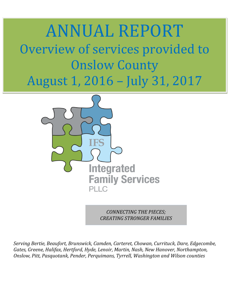# ANNUAL REPORT Overview of services provided to Onslow County August 1, 2016 – July 31, 2017



*CONNECTING THE PIECES; CREATING STRONGER FAMILIES*

*Serving Bertie, Beaufort, Brunswick, Camden, Carteret, Chowan, Currituck, Dare, Edgecombe, Gates, Greene, Halifax, Hertford, Hyde, Lenoir, Martin, Nash, New Hanover, Northampton, Onslow, Pitt, Pasquotank, Pender, Perquimans, Tyrrell, Washington and Wilson counties*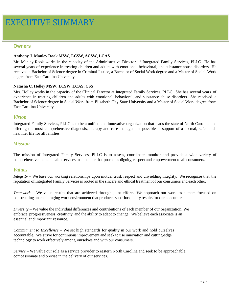### **Owners**

#### **Anthony J. Manley Rook MSW, LCSW, ACSW, LCAS**

Mr. Manley-Rook works in the capacity of the Administrative Director of Integrated Family Services, PLLC. He has several years of experience in treating children and adults with emotional, behavioral, and substance abuse disorders. He received a Bachelor of Science degree in Criminal Justice, a Bachelor of Social Work degree and a Master of Social Work degree from East Carolina University.

#### **Natasha C. Holley MSW, LCSW, LCAS, CSS**

Mrs. Holley works in the capacity of the Clinical Director at Integrated Family Services, PLLC. She has several years of experience in treating children and adults with emotional, behavioral, and substance abuse disorders. She received a Bachelor of Science degree in Social Work from Elizabeth City State University and a Master of Social Work degree from East Carolina University.

#### *Vision*

Integrated Family Services, PLLC is to be a unified and innovative organization that leads the state of North Carolina in offering the most comprehensive diagnosis, therapy and care management possible in support of a normal, safer and healthier life for all families.

#### *Mission*

The mission of Integrated Family Services, PLLC is to assess, coordinate, monitor and provide a wide variety of comprehensive mental health services in a manner that promotes dignity, respect and empowerment to all consumers.

#### *Values*

*Integrity* – We base our working relationships upon mutual trust, respect and unyielding integrity. We recognize that the reputation of Integrated Family Services is rooted in the sincere and ethical treatment of our consumers and each other.

*Teamwork* – We value results that are achieved through joint efforts. We approach our work as a team focused on constructing an encouraging work environment that produces superior quality results for our consumers.

*Diversity* – We value the individual differences and contributions of each member of our organization. We embrace progressiveness, creativity, and the ability to adapt to change. We believe each associate is an essential and important resource.

*Commitment to Excellence* – We set high standards for quality in our work and hold ourselves accountable. We strive for continuous improvement and seek to use innovation and cutting-edge technology to work effectively among ourselves and with our consumers.

*Service* – We value our role as a service provider to eastern North Carolina and seek to be approachable, compassionate and precise in the delivery of our services.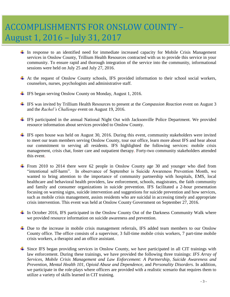# ACCOMPLISHMENTS FOR ONSLOW COUNTY – August 1, 2016 – July 31, 2017

- In response to an identified need for immediate increased capacity for Mobile Crisis Management services in Onslow County, Trillium Health Resources contracted with us to provide this service in your community. To ensure rapid and thorough integration of the service into the community, informational sessions were held on July 25 and July 27, 2016.
- At the request of Onslow County schools, IFS provided information to their school social workers, counselors, nurses, psychologists and administrative staff.
- $\overline{\text{ }+}$  IFS began serving Onslow County on Monday, August 1, 2016.
- IFS was invited by Trillium Health Resources to present at the *Compassion Reaction* event on August 3 and the *Rachel's Challenge* event on August 19, 2016.
- IFS participated in the annual National Night Out with Jacksonville Police Department. We provided resource information about services provided to Onslow County.
- $\pm$  IFS open house was held on August 30, 2016. During this event, community stakeholders were invited to meet our team members serving Onslow County, tour our office, learn more about IFS and hear about our commitment to serving all residents. IFS highlighted the following services: mobile crisis management, crisis chat, foster care and outpatient therapy. Forty-two community stakeholders attended this event.
- From 2010 to 2014 there were 62 people in Onslow County age 30 and younger who died from "intentional self-harm". In observance of September is Suicide Awareness Prevention Month, we wanted to bring attention to the importance of community partnership with hospitals, EMS, local healthcare and behavioral health providers, law enforcement, schools, magistrates, the faith community and family and consumer organizations in suicide prevention. IFS facilitated a 2-hour presentation focusing on warning signs, suicide intervention and suggestions for suicide prevention and how services, such as mobile crisis management, assists residents who are suicidal in accessing timely and appropriate crisis intervention. This event was held at Onslow County Government on September 27, 2016.
- $\perp$  In October 2016, IFS participated in the Onslow County Out of the Darkness Community Walk where we provided resource information on suicide awareness and prevention.
- Due to the increase in mobile crisis management referrals, IFS added team members to our Onslow County office. The office consists of a supervisor, 3 full-time mobile crisis workers, 7 part-time mobile crisis workers, a therapist and an office assistant.
- Since IFS began providing services in Onslow County, we have participated in all CIT trainings with law enforcement. During these trainings, we have provided the following three trainings: *IFS Array of Services, Mobile Crisis Management and Law Enforcement: A Partnership, Suicide Awareness and Prevention, Mental Health 101, Opioid Abuse and Dependence,* and *Personality Disorders*. In addition, we participate in the role-plays where officers are provided with a realistic scenario that requires them to utilize a variety of skills learned in CIT training.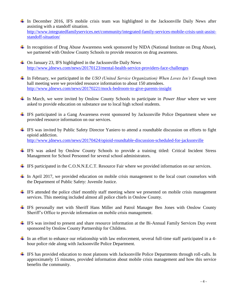- In December 2016, IFS mobile crisis team was highlighted in the Jacksonville Daily News after assisting with a standoff situation. [http://www.integratedfamilyservices.net/community/integrated-family-services-mobile-crisis-unit-assist](http://www.integratedfamilyservices.net/community/integrated-family-services-mobile-crisis-unit-assist-standoff-situation/)[standoff-situation/](http://www.integratedfamilyservices.net/community/integrated-family-services-mobile-crisis-unit-assist-standoff-situation/)
- In recognition of Drug Abuse Awareness week sponsored by NIDA (National Institute on Drug Abuse), we partnered with Onslow County Schools to provide resources on drug awareness.
- $\overline{\phantom{a} \bullet}$  On January 23, IFS highlighted in the Jacksonville Daily News <http://www.jdnews.com/news/20170123/mental-health-service-providers-face-challenges>
- In February, we participated in the *USO (United Service Organization) When Loves Isn't Enough* town hall meeting were we provided resource information to about 150 attendees. <http://www.jdnews.com/news/20170221/mock-bedroom-to-give-parents-insight>
- In March, we were invited by Onslow County Schools to participate in *Power Hour* where we were asked to provide education on substance use to local high school students.
- IFS participated in a Gang Awareness event sponsored by Jacksonville Police Department where we provided resource information on our services.
- IFS was invited by Public Safety Director Yaniero to attend a roundtable discussion on efforts to fight opioid addiction. <http://www.jdnews.com/news/20170424/opioid-roundtable-discussion-scheduled-for-jacksonville>
- IFS was asked by Onslow County Schools to provide a training titled: Critical Incident Stress Management for School Personnel for several school administrators.
- ↓ IFS participated in the C.O.N.N.E.C.T. Resource Fair where we provided information on our services.
- $\pm$  In April 2017, we provided education on mobile crisis management to the local court counselors with the Department of Public Safety: Juvenile Justice.
- $\pm$  IFS attended the police chief monthly staff meeting where we presented on mobile crisis management services. This meeting included almost all police chiefs in Onslow County.
- IFS personally met with Sheriff Hans Miller and Patrol Manager Ben Jones with Onslow County Sheriff's Office to provide information on mobile crisis management.
- IFS was invited to present and share resource information at the Bi-Annual Family Services Day event sponsored by Onslow County Partnership for Children.
- In an effort to enhance our relationship with law enforcement, several full-time staff participated in a 4hour police ride along with Jacksonville Police Department.
- IFS has provided education to most platoons with Jacksonville Police Departments through roll-calls. In approximately 15 minutes, provided information about mobile crisis management and how this service benefits the community.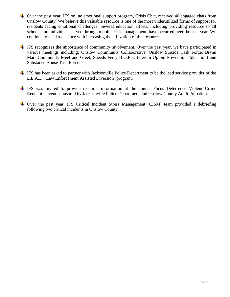- Over the past year, IFS online emotional support program, Crisis Chat, received 40 engaged chats from Onslow County. We believe this valuable resource is one of the most underutilized forms of support for residents facing emotional challenges. Several education efforts, including providing resource to all schools and individuals served through mobile crisis management, have occurred over the past year. We continue to need assistance with increasing the utilization of this resource.
- IFS recognizes the importance of community involvement. Over the past year, we have participated in various meetings including; Onslow Community Collaborative, Onslow Suicide Task Force, Brynn Marr Community Meet and Greet, Sneeds Ferry H.O.P.E. (Heroin Opioid Prevention Education) and Substance Abuse Task Force.
- IFS has been asked to partner with Jacksonville Police Department to be the lead service provider of the L.E.A.D. (Law Enforcement Assisted Diversion) program.
- IFS was invited to provide resource information at the annual Focus Deterrence Violent Crime Reduction event sponsored by Jacksonville Police Department and Onslow County Adult Probation.
- Over the past year, IFS Critical Incident Stress Management (CISM) team provided a debriefing following two critical incidents in Onslow County.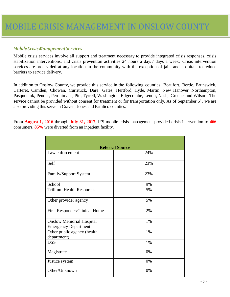## *MobileCrisisManagementServices*

Mobile crisis services involve all support and treatment necessary to provide integrated crisis responses, crisis stabilization interventions, and crisis prevention activities 24 hours a day/7 days a week. Crisis intervention services are pro- vided at any location in the community with the exception of jails and hospitals to reduce barriers to service delivery.

In addition to Onslow County, we provide this service in the following counties: Beaufort, Bertie, Brunswick, Carteret, Camden, Chowan, Currituck, Dare, Gates, Hertford, Hyde, Martin, New Hanover, Northampton, Pasquotank, Pender, Perquimans, Pitt, Tyrrell, Washington, Edgecombe, Lenoir, Nash, Greene, and Wilson. The service cannot be provided without consent for treatment or for transportation only. As of September 5<sup>th</sup>, we are also providing this serve in Craven, Jones and Pamlico counties.

From **August 1, 2016** through **July 31, 2017**, IFS mobile crisis management provided crisis intervention to **466** consumers. **85%** were diverted from an inpatient facility.

| <b>Referral Source</b>                                         |     |
|----------------------------------------------------------------|-----|
| Law enforcement                                                | 24% |
| Self                                                           | 23% |
| Family/Support System                                          | 23% |
| School                                                         | 9%  |
| <b>Trillium Health Resources</b>                               | 5%  |
| Other provider agency                                          | 5%  |
| First Responder/Clinical Home                                  | 2%  |
| <b>Onslow Memorial Hospital</b><br><b>Emergency Department</b> | 1%  |
| Other public agency (health<br>department)                     | 1%  |
| <b>DSS</b>                                                     | 1%  |
| Magistrate                                                     | 0%  |
| Justice system                                                 | 0%  |
| Other/Unknown                                                  | 0%  |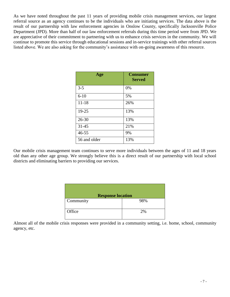As we have noted throughout the past 11 years of providing mobile crisis management services, our largest referral source as an agency continues to be the individuals who are initiating services. The data above is the result of our partnership with law enforcement agencies in Onslow County, specifically Jacksonville Police Department (JPD). More than half of our law enforcement referrals during this time period were from JPD. We are appreciative of their commitment to partnering with us to enhance crisis services in the community. We will continue to promote this service through educational sessions and in-service trainings with other referral sources listed above. We are also asking for the community's assistance with on-going awareness of this resource.

| Age          | <b>Consumer</b><br><b>Served</b> |
|--------------|----------------------------------|
| $3 - 5$      | 0%                               |
| $6 - 10$     | 5%                               |
| $11 - 18$    | 26%                              |
| 19-25        | 13%                              |
| $26 - 30$    | 13%                              |
| $31 - 45$    | 21%                              |
| $46 - 55$    | 9%                               |
| 56 and older | 13%                              |

Our mobile crisis management team continues to serve more individuals between the ages of 11 and 18 years old than any other age group. We strongly believe this is a direct result of our partnership with local school districts and eliminating barriers to providing our services.

| <b>Response location</b> |     |
|--------------------------|-----|
| Community                | 98% |
| Office                   | 2%  |

Almost all of the mobile crisis responses were provided in a community setting, i.e. home, school, community agency, etc.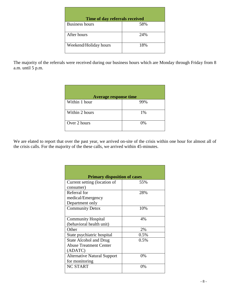| Time of day referrals received |     |
|--------------------------------|-----|
| <b>Business hours</b>          | 58% |
| After hours                    | 24% |
| Weekend/Holiday hours          | 18% |

The majority of the referrals were received during our business hours which are Monday through Friday from 8 a.m. until  $5$  p.m.

| <b>Average response time</b> |     |
|------------------------------|-----|
| Within 1 hour                | 99% |
| Within 2 hours               | 1%  |
| Over 2 hours                 | 0%  |

We are elated to report that over the past year, we arrived on-site of the crisis within one hour for almost all of the crisis calls. For the majority of the these calls, we arrived within 45-minutes.

| <b>Primary disposition of cases</b> |       |
|-------------------------------------|-------|
| Current setting (location of        | 55%   |
| consumer)                           |       |
| Referral for                        | 28%   |
| medical/Emergency                   |       |
| Department only                     |       |
| <b>Community Detox</b>              | 10%   |
|                                     |       |
| <b>Community Hospital</b>           | 4%    |
| (behavioral health unit)            |       |
| Other                               | 2%    |
| State psychiatric hospital          | 0.5%  |
| <b>State Alcohol and Drug</b>       | 0.5%  |
| <b>Abuse Treatment Center</b>       |       |
| (ADATC)                             |       |
| <b>Alternative Natural Support</b>  | $0\%$ |
| for monitoring                      |       |
| <b>NC START</b>                     | 0%    |
|                                     |       |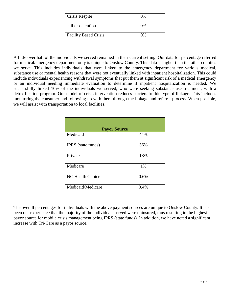| <b>Crisis Respite</b>        | 0%    |
|------------------------------|-------|
| Jail or detention            | $0\%$ |
| <b>Facility Based Crisis</b> | በ%    |

A little over half of the individuals we served remained in their current setting. Our data for percentage referred for medical/emergency department only is unique to Onslow County. This data is higher than the other counties we serve. This includes individuals that were linked to the emergency department for various medical, substance use or mental health reasons that were not eventually linked with inpatient hospitalization. This could include individuals experiencing withdrawal symptoms that put them at significant risk of a medical emergency or an individual needing immediate evaluation to determine if inpatient hospitalization is needed. We successfully linked 10% of the individuals we served, who were seeking substance use treatment, with a detoxification program. Our model of crisis intervention reduces barriers to this type of linkage. This includes monitoring the consumer and following up with them through the linkage and referral process. When possible, we will assist with transportation to local facilities.

| <b>Payor Source</b>       |      |
|---------------------------|------|
| Medicaid                  | 44%  |
| <b>IPRS</b> (state funds) | 36%  |
| Private                   | 18%  |
| Medicare                  | 1%   |
| <b>NC Health Choice</b>   | 0.6% |
| Medicaid/Medicare         | 0.4% |

The overall percentages for individuals with the above payment sources are unique to Onslow County. It has been our experience that the majority of the individuals served were uninsured, thus resulting in the highest payor source for mobile crisis management being IPRS (state funds). In addition, we have noted a significant increase with Tri-Care as a payor source.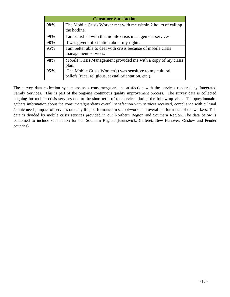| <b>Consumer Satisfaction</b> |                                                                                                                  |
|------------------------------|------------------------------------------------------------------------------------------------------------------|
| 98%                          | The Mobile Crisis Worker met with me within 2 hours of calling<br>the hotline.                                   |
| 99%                          | I am satisfied with the mobile crisis management services.                                                       |
| 98%                          | I was given information about my rights.                                                                         |
| 95%                          | I am better able to deal with crisis because of mobile crisis<br>management services.                            |
| 98%                          | Mobile Crisis Management provided me with a copy of my crisis<br>plan.                                           |
| 95%                          | The Mobile Crisis Worker(s) was sensitive to my cultural<br>beliefs (race, religious, sexual orientation, etc.). |

The survey data collection system assesses consumer/guardian satisfaction with the services rendered by Integrated Family Services. This is part of the ongoing continuous quality improvement process. The survey data is collected ongoing for mobile crisis services due to the short-term of the services during the follow-up visit. The questionnaire gathers information about the consumers/guardians overall satisfaction with services received, compliance with cultural /ethnic needs, impact of services on daily life, performance in school/work, and overall performance of the workers. This data is divided by mobile crisis services provided in our Northern Region and Southern Region. The data below is combined to include satisfaction for our Southern Region (Brunswick, Carteret, New Hanover, Onslow and Pender counties).